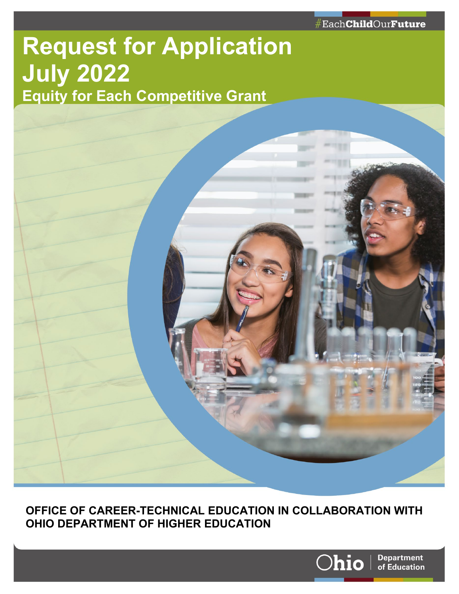# **Request for Application July 2022 Equity for Each Competitive Grant**



**OFFICE OF CAREER-TECHNICAL EDUCATION IN COLLABORATION WITH OHIO DEPARTMENT OF HIGHER EDUCATION**

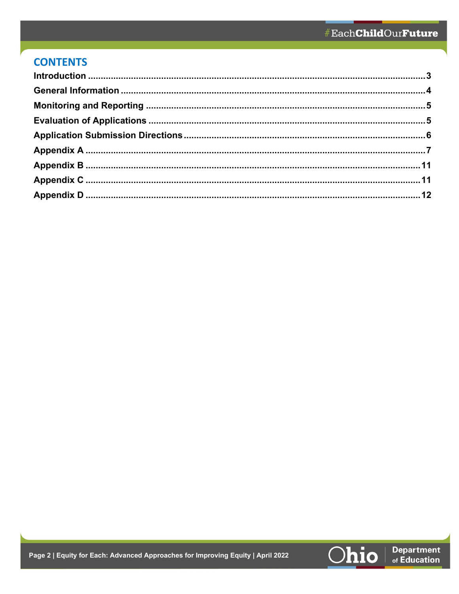### **CONTENTS**

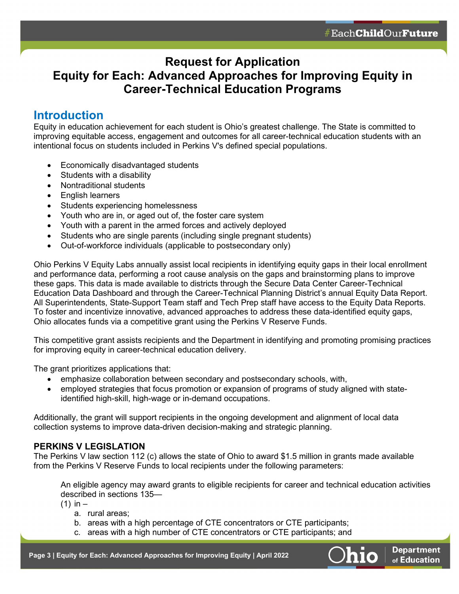### **Request for Application Equity for Each: Advanced Approaches for Improving Equity in Career-Technical Education Programs**

### <span id="page-2-0"></span>**Introduction**

Equity in education achievement for each student is Ohio's greatest challenge. The State is committed to improving equitable access, engagement and outcomes for all career-technical education students with an intentional focus on students included in Perkins V's defined special populations.

- Economically disadvantaged students
- Students with a disability
- Nontraditional students
- English learners
- Students experiencing homelessness
- Youth who are in, or aged out of, the foster care system
- Youth with a parent in the armed forces and actively deployed
- Students who are single parents (including single pregnant students)
- Out-of-workforce individuals (applicable to postsecondary only)

Ohio Perkins V Equity Labs annually assist local recipients in identifying equity gaps in their local enrollment and performance data, performing a root cause analysis on the gaps and brainstorming plans to improve these gaps. This data is made available to districts through the Secure Data Center Career-Technical Education Data Dashboard and through the Career-Technical Planning District's annual Equity Data Report. All Superintendents, State-Support Team staff and Tech Prep staff have access to the Equity Data Reports. To foster and incentivize innovative, advanced approaches to address these data-identified equity gaps, Ohio allocates funds via a competitive grant using the Perkins V Reserve Funds.

This competitive grant assists recipients and the Department in identifying and promoting promising practices for improving equity in career-technical education delivery.

The grant prioritizes applications that:

- emphasize collaboration between secondary and postsecondary schools, with,
- employed strategies that focus promotion or expansion of programs of study aligned with stateidentified high-skill, high-wage or in-demand occupations.

Additionally, the grant will support recipients in the ongoing development and alignment of local data collection systems to improve data-driven decision-making and strategic planning.

#### **PERKINS V LEGISLATION**

The Perkins V law section 112 (c) allows the state of Ohio to award \$1.5 million in grants made available from the Perkins V Reserve Funds to local recipients under the following parameters:

An eligible agency may award grants to eligible recipients for career and technical education activities described in sections 135—

 $(1)$  in  $-$ 

- a. rural areas;
- b. areas with a high percentage of CTE concentrators or CTE participants;
- c. areas with a high number of CTE concentrators or CTE participants; and

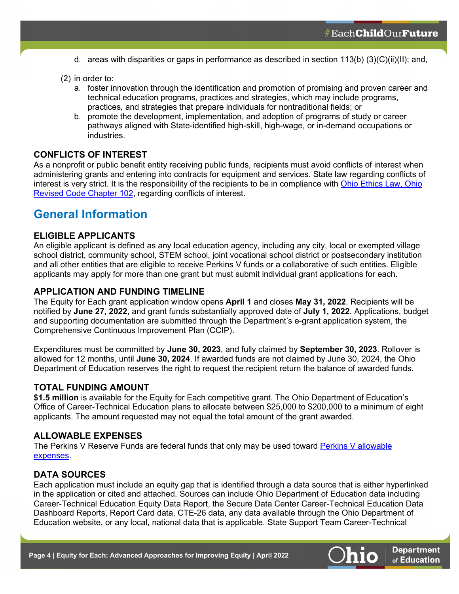- d. areas with disparities or gaps in performance as described in section 113(b) (3)(C)(ii)(II); and,
- (2) in order to:
	- a. foster innovation through the identification and promotion of promising and proven career and technical education programs, practices and strategies, which may include programs, practices, and strategies that prepare individuals for nontraditional fields; or
	- b. promote the development, implementation, and adoption of programs of study or career pathways aligned with State-identified high-skill, high-wage, or in-demand occupations or industries.

#### **CONFLICTS OF INTEREST**

As a nonprofit or public benefit entity receiving public funds, recipients must avoid conflicts of interest when administering grants and entering into contracts for equipment and services. State law regarding conflicts of interest is very strict. It is the responsibility of the recipients to be in compliance with [Ohio Ethics Law, Ohio](http://codes.ohio.gov/orc/102)  [Revised Code Chapter 102,](http://codes.ohio.gov/orc/102) regarding conflicts of interest.

### <span id="page-3-0"></span>**General Information**

#### **ELIGIBLE APPLICANTS**

An eligible applicant is defined as any local education agency, including any city, local or exempted village school district, community school, STEM school, joint vocational school district or postsecondary institution and all other entities that are eligible to receive Perkins V funds or a collaborative of such entities. Eligible applicants may apply for more than one grant but must submit individual grant applications for each.

#### **APPLICATION AND FUNDING TIMELINE**

The Equity for Each grant application window opens **April 1** and closes **May 31, 2022**. Recipients will be notified by **June 27, 2022**, and grant funds substantially approved date of **July 1, 2022**. Applications, budget and supporting documentation are submitted through the Department's e-grant application system, the Comprehensive Continuous Improvement Plan (CCIP).

Expenditures must be committed by **June 30, 2023**, and fully claimed by **September 30, 2023**. Rollover is allowed for 12 months, until **June 30, 2024**. If awarded funds are not claimed by June 30, 2024, the Ohio Department of Education reserves the right to request the recipient return the balance of awarded funds.

#### **TOTAL FUNDING AMOUNT**

**\$1.5 million** is available for the Equity for Each competitive grant. The Ohio Department of Education's Office of Career-Technical Education plans to allocate between \$25,000 to \$200,000 to a minimum of eight applicants. The amount requested may not equal the total amount of the grant awarded.

#### **ALLOWABLE EXPENSES**

The Perkins V Reserve Funds are federal funds that only may be used toward [Perkins V allowable](https://education.ohio.gov/getattachment/Topics/Finance-and-Funding/School-Payment-Reports/State-Funding-For-Schools/Career-Technical-Funding/Guidelines-for-Compliance-with-Perkins-V-Regulations.pdf.aspx?lang=en-US)  [expenses.](https://education.ohio.gov/getattachment/Topics/Finance-and-Funding/School-Payment-Reports/State-Funding-For-Schools/Career-Technical-Funding/Guidelines-for-Compliance-with-Perkins-V-Regulations.pdf.aspx?lang=en-US)

#### **DATA SOURCES**

Each application must include an equity gap that is identified through a data source that is either hyperlinked in the application or cited and attached. Sources can include Ohio Department of Education data including Career-Technical Education Equity Data Report, the Secure Data Center Career-Technical Education Data Dashboard Reports, Report Card data, CTE-26 data, any data available through the Ohio Department of Education website, or any local, national data that is applicable. State Support Team Career-Technical



**Department** of Education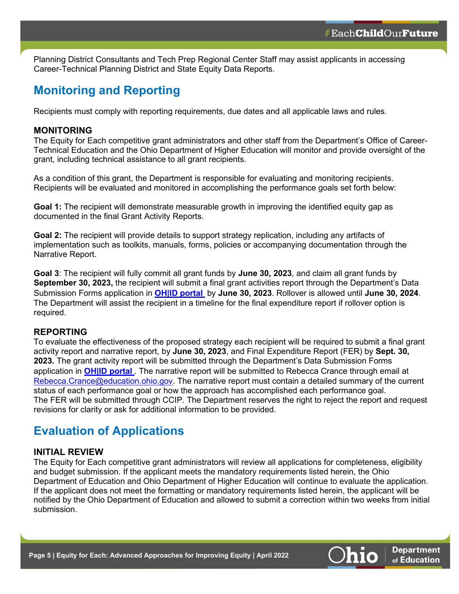Planning District Consultants and Tech Prep Regional Center Staff may assist applicants in accessing Career-Technical Planning District and State Equity Data Reports.

### <span id="page-4-0"></span>**Monitoring and Reporting**

Recipients must comply with reporting requirements, due dates and all applicable laws and rules.

#### **MONITORING**

The Equity for Each competitive grant administrators and other staff from the Department's Office of Career-Technical Education and the Ohio Department of Higher Education will monitor and provide oversight of the grant, including technical assistance to all grant recipients.

As a condition of this grant, the Department is responsible for evaluating and monitoring recipients. Recipients will be evaluated and monitored in accomplishing the performance goals set forth below:

**Goal 1:** The recipient will demonstrate measurable growth in improving the identified equity gap as documented in the final Grant Activity Reports.

**Goal 2:** The recipient will provide details to support strategy replication, including any artifacts of implementation such as toolkits, manuals, forms, policies or accompanying documentation through the Narrative Report.

**Goal 3**: The recipient will fully commit all grant funds by **June 30, 2023**, and claim all grant funds by **September 30, 2023,** the recipient will submit a final grant activities report through the Department's Data Submission Forms application in **[OH|ID portal](https://ohid.ohio.gov/wps/portal/gov/ohid/login/)** by **June 30, 2023**. Rollover is allowed until **June 30, 2024**. The Department will assist the recipient in a timeline for the final expenditure report if rollover option is required.

#### **REPORTING**

To evaluate the effectiveness of the proposed strategy each recipient will be required to submit a final grant activity report and narrative report, by **June 30, 2023**, and Final Expenditure Report (FER) by **Sept. 30, 2023.** The grant activity report will be submitted through the Department's Data Submission Forms application in **[OH|ID portal](https://ohid.ohio.gov/wps/portal/gov/ohid/login/)**. The narrative report will be submitted to Rebecca Crance through email at [Rebecca.Crance@education.ohio.gov.](mailto:Rebecca.Crance@education.ohio.gov) The narrative report must contain a detailed summary of the current status of each performance goal or how the approach has accomplished each performance goal. The FER will be submitted through CCIP. The Department reserves the right to reject the report and request revisions for clarity or ask for additional information to be provided.

### <span id="page-4-1"></span>**Evaluation of Applications**

#### **INITIAL REVIEW**

The Equity for Each competitive grant administrators will review all applications for completeness, eligibility and budget submission. If the applicant meets the mandatory requirements listed herein, the Ohio Department of Education and Ohio Department of Higher Education will continue to evaluate the application. If the applicant does not meet the formatting or mandatory requirements listed herein, the applicant will be notified by the Ohio Department of Education and allowed to submit a correction within two weeks from initial submission.

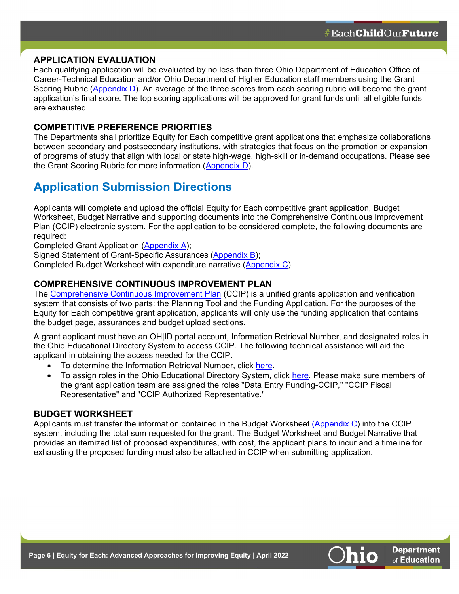#### **APPLICATION EVALUATION**

Each qualifying application will be evaluated by no less than three Ohio Department of Education Office of Career-Technical Education and/or Ohio Department of Higher Education staff members using the Grant Scoring Rubric [\(Appendix D\)](#page-13-0). An average of the three scores from each scoring rubric will become the grant application's final score. The top scoring applications will be approved for grant funds until all eligible funds are exhausted.

#### **COMPETITIVE PREFERENCE PRIORITIES**

The Departments shall prioritize Equity for Each competitive grant applications that emphasize collaborations between secondary and postsecondary institutions, with strategies that focus on the promotion or expansion of programs of study that align with local or state high-wage, high-skill or in-demand occupations. Please see the Grant Scoring Rubric for more information [\(Appendix D\)](#page-13-0).

### <span id="page-5-0"></span>**Application Submission Directions**

Applicants will complete and upload the official Equity for Each competitive grant application, Budget Worksheet, Budget Narrative and supporting documents into the Comprehensive Continuous Improvement Plan (CCIP) electronic system. For the application to be considered complete, the following documents are required:

Completed Grant Application [\(Appendix A\)](#page-6-0);

Signed Statement of Grant-Specific Assurances [\(Appendix B\)](#page-10-0);

Completed Budget Worksheet with expenditure narrative [\(Appendix C\)](#page-11-0).

#### **COMPREHENSIVE CONTINUOUS IMPROVEMENT PLAN**

The [Comprehensive Continuous Improvement Plan](http://education.ohio.gov/Topics/School-Improvement/Student-Improvement/IMPACT-%E2%80%93-Integrated-Monitoring-Process-and-Continu) (CCIP) is a unified grants application and verification system that consists of two parts: the Planning Tool and the Funding Application. For the purposes of the Equity for Each competitive grant application, applicants will only use the funding application that contains the budget page, assurances and budget upload sections.

A grant applicant must have an OH|ID portal account, Information Retrieval Number, and designated roles in the Ohio Educational Directory System to access CCIP. The following technical assistance will aid the applicant in obtaining the access needed for the CCIP.

- To determine the Information Retrieval Number, click [here.](http://webapp2.ode.state.oh.us/data/irn.asp)
- To assign roles in the Ohio Educational Directory System, click [here.](http://webapp2.ode.state.oh.us/data/irn.asp) Please make sure members of the grant application team are assigned the roles "Data Entry Funding-CCIP," "CCIP Fiscal Representative" and "CCIP Authorized Representative."

#### **BUDGET WORKSHEET**

Applicants must transfer the information contained in the Budget Worksheet [\(Appendix C\)](#page-11-0) into the CCIP system, including the total sum requested for the grant. The Budget Worksheet and Budget Narrative that provides an itemized list of proposed expenditures, with cost, the applicant plans to incur and a timeline for exhausting the proposed funding must also be attached in CCIP when submitting application.

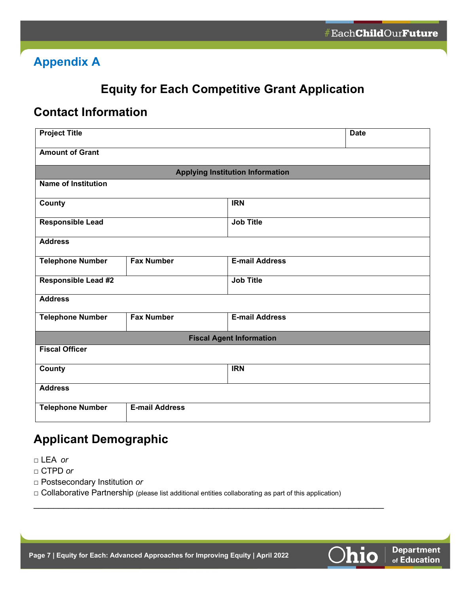## <span id="page-6-0"></span>**Appendix A**

# **Equity for Each Competitive Grant Application**

### **Contact Information**

| <b>Project Title</b>       |                       |                                         | <b>Date</b> |
|----------------------------|-----------------------|-----------------------------------------|-------------|
| <b>Amount of Grant</b>     |                       |                                         |             |
|                            |                       | <b>Applying Institution Information</b> |             |
| <b>Name of Institution</b> |                       |                                         |             |
| County                     |                       | <b>IRN</b>                              |             |
| <b>Responsible Lead</b>    |                       | <b>Job Title</b>                        |             |
| <b>Address</b>             |                       |                                         |             |
| <b>Telephone Number</b>    | <b>Fax Number</b>     | <b>E-mail Address</b>                   |             |
| <b>Responsible Lead #2</b> |                       | <b>Job Title</b>                        |             |
| <b>Address</b>             |                       |                                         |             |
| <b>Telephone Number</b>    | <b>Fax Number</b>     | <b>E-mail Address</b>                   |             |
|                            |                       | <b>Fiscal Agent Information</b>         |             |
| <b>Fiscal Officer</b>      |                       |                                         |             |
| <b>County</b>              |                       | <b>IRN</b>                              |             |
| <b>Address</b>             |                       |                                         |             |
| <b>Telephone Number</b>    | <b>E-mail Address</b> |                                         |             |

# **Applicant Demographic**

- □ LEA *or*
- □ CTPD *or*
- □ Postsecondary Institution *or*

 $\Box$  Collaborative Partnership (please list additional entities collaborating as part of this application)

\_\_\_\_\_\_\_\_\_\_\_\_\_\_\_\_\_\_\_\_\_\_\_\_\_\_\_\_\_\_\_\_\_\_\_\_\_\_\_\_\_\_\_\_\_\_\_\_\_\_\_\_\_\_\_\_\_\_\_\_\_\_\_\_\_\_\_\_\_\_

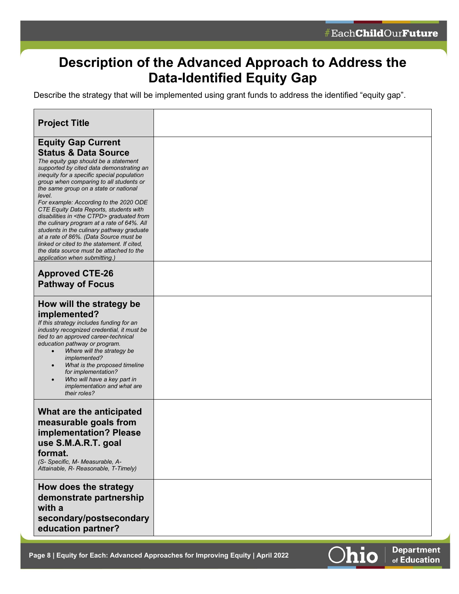# **Description of the Advanced Approach to Address the Data-Identified Equity Gap**

Describe the strategy that will be implemented using grant funds to address the identified "equity gap".

| <b>Project Title</b>                                                                                                                                                                                                                                                                                                                                                                                                                                                                                                                                                                                                                                                                                         |  |
|--------------------------------------------------------------------------------------------------------------------------------------------------------------------------------------------------------------------------------------------------------------------------------------------------------------------------------------------------------------------------------------------------------------------------------------------------------------------------------------------------------------------------------------------------------------------------------------------------------------------------------------------------------------------------------------------------------------|--|
| <b>Equity Gap Current</b><br><b>Status &amp; Data Source</b><br>The equity gap should be a statement<br>supported by cited data demonstrating an<br>inequity for a specific special population<br>group when comparing to all students or<br>the same group on a state or national<br>level.<br>For example: According to the 2020 ODE<br>CTE Equity Data Reports, students with<br>disabilities in <the ctpd=""> graduated from<br/>the culinary program at a rate of 64%. All<br/>students in the culinary pathway graduate<br/>at a rate of 86%. (Data Source must be<br/>linked or cited to the statement. If cited,<br/>the data source must be attached to the<br/>application when submitting.)</the> |  |
| <b>Approved CTE-26</b><br><b>Pathway of Focus</b>                                                                                                                                                                                                                                                                                                                                                                                                                                                                                                                                                                                                                                                            |  |
| How will the strategy be<br>implemented?<br>If this strategy includes funding for an<br>industry recognized credential, it must be<br>tied to an approved career-technical<br>education pathway or program.<br>Where will the strategy be<br>implemented?<br>What is the proposed timeline<br>$\bullet$<br>for implementation?<br>Who will have a key part in<br>$\bullet$<br>implementation and what are<br>their roles?                                                                                                                                                                                                                                                                                    |  |
| What are the anticipated<br>measurable goals from<br>implementation? Please<br>use S.M.A.R.T. goal<br>format.<br>(S- Specific, M- Measurable, A-<br>Attainable, R- Reasonable, T-Timely)                                                                                                                                                                                                                                                                                                                                                                                                                                                                                                                     |  |
| How does the strategy<br>demonstrate partnership<br>with a<br>secondary/postsecondary<br>education partner?                                                                                                                                                                                                                                                                                                                                                                                                                                                                                                                                                                                                  |  |

**Page 8 | Equity for Each: Advanced Approaches for Improving Equity | April 2022**

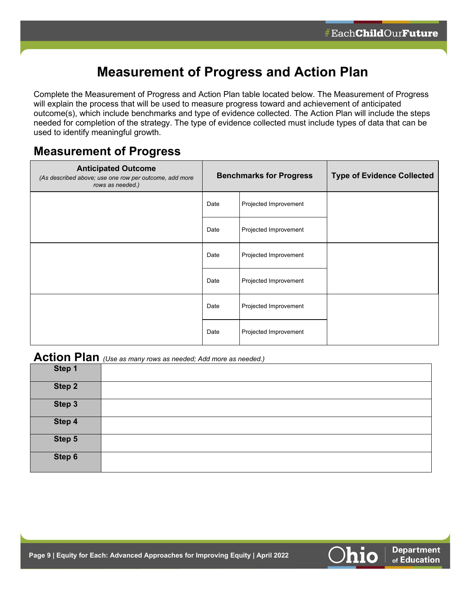# **Measurement of Progress and Action Plan**

Complete the Measurement of Progress and Action Plan table located below. The Measurement of Progress will explain the process that will be used to measure progress toward and achievement of anticipated outcome(s), which include benchmarks and type of evidence collected. The Action Plan will include the steps needed for completion of the strategy. The type of evidence collected must include types of data that can be used to identify meaningful growth.

### **Measurement of Progress**

| <b>Anticipated Outcome</b><br>(As described above; use one row per outcome, add more<br>rows as needed.) |      | <b>Benchmarks for Progress</b> | <b>Type of Evidence Collected</b> |
|----------------------------------------------------------------------------------------------------------|------|--------------------------------|-----------------------------------|
|                                                                                                          | Date | Projected Improvement          |                                   |
|                                                                                                          | Date | Projected Improvement          |                                   |
|                                                                                                          | Date | Projected Improvement          |                                   |
|                                                                                                          | Date | Projected Improvement          |                                   |
|                                                                                                          | Date | Projected Improvement          |                                   |
|                                                                                                          | Date | Projected Improvement          |                                   |

### **Action Plan** *(Use as many rows as needed; Add more as needed.)*

|        | $\sim$<br>. .<br>$\sim$ |
|--------|-------------------------|
| Step 1 |                         |
| Step 2 |                         |
| Step 3 |                         |
| Step 4 |                         |
| Step 5 |                         |
| Step 6 |                         |

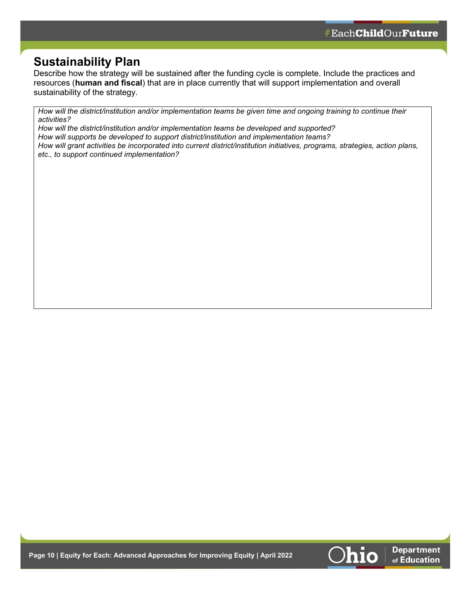**Department** of Education

### **Sustainability Plan**

Describe how the strategy will be sustained after the funding cycle is complete. Include the practices and resources (**human and fiscal**) that are in place currently that will support implementation and overall sustainability of the strategy.

*How will the district/institution and/or implementation teams be given time and ongoing training to continue their activities?*

*How will the district/institution and/or implementation teams be developed and supported? How will supports be developed to support district/institution and implementation teams? How will grant activities be incorporated into current district/institution initiatives, programs, strategies, action plans, etc., to support continued implementation?*

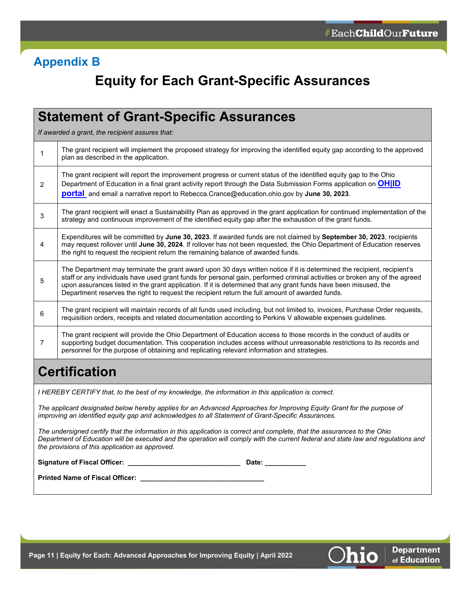# <span id="page-10-0"></span>**Appendix B**

# **Equity for Each Grant-Specific Assurances**

|                | <b>Statement of Grant-Specific Assurances</b>                                                                                                                                                                                                                                                                                                                                                                                                                                 |
|----------------|-------------------------------------------------------------------------------------------------------------------------------------------------------------------------------------------------------------------------------------------------------------------------------------------------------------------------------------------------------------------------------------------------------------------------------------------------------------------------------|
|                | If awarded a grant, the recipient assures that:                                                                                                                                                                                                                                                                                                                                                                                                                               |
| 1              | The grant recipient will implement the proposed strategy for improving the identified equity gap according to the approved<br>plan as described in the application.                                                                                                                                                                                                                                                                                                           |
| $\overline{2}$ | The grant recipient will report the improvement progress or current status of the identified equity gap to the Ohio<br>Department of Education in a final grant activity report through the Data Submission Forms application on <b>OHID</b><br>portal and email a narrative report to Rebecca. Crance@education.ohio.gov by June 30, 2023.                                                                                                                                   |
| 3              | The grant recipient will enact a Sustainability Plan as approved in the grant application for continued implementation of the<br>strategy and continuous improvement of the identified equity gap after the exhaustion of the grant funds.                                                                                                                                                                                                                                    |
| 4              | Expenditures will be committed by June 30, 2023. If awarded funds are not claimed by September 30, 2023, recipients<br>may request rollover until June 30, 2024. If rollover has not been requested, the Ohio Department of Education reserves<br>the right to request the recipient return the remaining balance of awarded funds.                                                                                                                                           |
| 5              | The Department may terminate the grant award upon 30 days written notice if it is determined the recipient, recipient's<br>staff or any individuals have used grant funds for personal gain, performed criminal activities or broken any of the agreed<br>upon assurances listed in the grant application. If it is determined that any grant funds have been misused, the<br>Department reserves the right to request the recipient return the full amount of awarded funds. |
| 6              | The grant recipient will maintain records of all funds used including, but not limited to, invoices, Purchase Order requests,<br>requisition orders, receipts and related documentation according to Perkins V allowable expenses guidelines.                                                                                                                                                                                                                                 |
| 7              | The grant recipient will provide the Ohio Department of Education access to those records in the conduct of audits or<br>supporting budget documentation. This cooperation includes access without unreasonable restrictions to its records and<br>personnel for the purpose of obtaining and replicating relevant information and strategies.                                                                                                                                |
|                | <b>Certification</b>                                                                                                                                                                                                                                                                                                                                                                                                                                                          |
|                | I HEREBY CERTIFY that, to the best of my knowledge, the information in this application is correct.                                                                                                                                                                                                                                                                                                                                                                           |
|                | The applicant designated below hereby applies for an Advanced Approaches for Improving Equity Grant for the purpose of<br>improving an identified equity gap and acknowledges to all Statement of Grant-Specific Assurances.                                                                                                                                                                                                                                                  |
|                | The undersigned certify that the information in this application is correct and complete, that the assurances to the Ohio<br>Department of Education will be executed and the operation will comply with the current federal and state law and regulations and<br>the provisions of this application as approved.                                                                                                                                                             |
|                | Date: the contract of the contract of the contract of the contract of the contract of the contract of the contract of the contract of the contract of the contract of the contract of the contract of the contract of the cont                                                                                                                                                                                                                                                |
|                |                                                                                                                                                                                                                                                                                                                                                                                                                                                                               |

<span id="page-10-1"></span>

**Department** 

of Education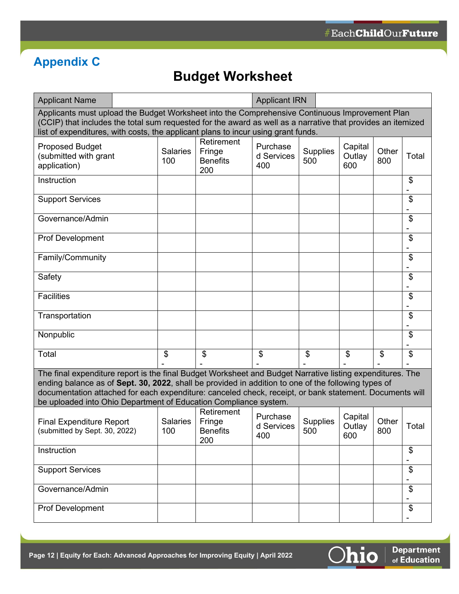# <span id="page-11-0"></span>**Appendix C**

# **Budget Worksheet**

| <b>Applicant Name</b>                                                                                                                                                                                                                                                                                                                                                                           |  |                        |                                                | <b>Applicant IRN</b>          |                        |                          |              |       |
|-------------------------------------------------------------------------------------------------------------------------------------------------------------------------------------------------------------------------------------------------------------------------------------------------------------------------------------------------------------------------------------------------|--|------------------------|------------------------------------------------|-------------------------------|------------------------|--------------------------|--------------|-------|
| Applicants must upload the Budget Worksheet into the Comprehensive Continuous Improvement Plan<br>(CCIP) that includes the total sum requested for the award as well as a narrative that provides an itemized<br>list of expenditures, with costs, the applicant plans to incur using grant funds.                                                                                              |  |                        |                                                |                               |                        |                          |              |       |
| <b>Proposed Budget</b><br>(submitted with grant<br>application)                                                                                                                                                                                                                                                                                                                                 |  | <b>Salaries</b><br>100 | Retirement<br>Fringe<br><b>Benefits</b><br>200 | Purchase<br>d Services<br>400 | <b>Supplies</b><br>500 | Capital<br>Outlay<br>600 | Other<br>800 | Total |
| Instruction                                                                                                                                                                                                                                                                                                                                                                                     |  |                        |                                                |                               |                        |                          |              | \$    |
| <b>Support Services</b>                                                                                                                                                                                                                                                                                                                                                                         |  |                        |                                                |                               |                        |                          |              | \$    |
| Governance/Admin                                                                                                                                                                                                                                                                                                                                                                                |  |                        |                                                |                               |                        |                          |              | \$    |
| <b>Prof Development</b>                                                                                                                                                                                                                                                                                                                                                                         |  |                        |                                                |                               |                        |                          |              | \$    |
| Family/Community                                                                                                                                                                                                                                                                                                                                                                                |  |                        |                                                |                               |                        |                          |              | \$    |
| Safety                                                                                                                                                                                                                                                                                                                                                                                          |  |                        |                                                |                               |                        |                          |              | \$    |
| <b>Facilities</b>                                                                                                                                                                                                                                                                                                                                                                               |  |                        |                                                |                               |                        |                          |              | \$    |
| Transportation                                                                                                                                                                                                                                                                                                                                                                                  |  |                        |                                                |                               |                        |                          |              | \$    |
| Nonpublic                                                                                                                                                                                                                                                                                                                                                                                       |  |                        |                                                |                               |                        |                          |              | \$    |
| Total                                                                                                                                                                                                                                                                                                                                                                                           |  | \$                     | \$                                             | \$                            | \$                     | \$                       | \$           | \$    |
| The final expenditure report is the final Budget Worksheet and Budget Narrative listing expenditures. The<br>ending balance as of Sept. 30, 2022, shall be provided in addition to one of the following types of<br>documentation attached for each expenditure: canceled check, receipt, or bank statement. Documents will<br>be uploaded into Ohio Department of Education Compliance system. |  |                        |                                                |                               |                        |                          |              |       |
| <b>Final Expenditure Report</b><br>(submitted by Sept. 30, 2022)                                                                                                                                                                                                                                                                                                                                |  | <b>Salaries</b><br>100 | Retirement<br>Fringe<br><b>Benefits</b><br>200 | Purchase<br>d Services<br>400 | <b>Supplies</b><br>500 | Capital<br>Outlay<br>600 | Other<br>800 | Total |
| Instruction                                                                                                                                                                                                                                                                                                                                                                                     |  |                        |                                                |                               |                        |                          |              | \$    |
| <b>Support Services</b>                                                                                                                                                                                                                                                                                                                                                                         |  |                        |                                                |                               |                        |                          |              | \$    |
| Governance/Admin                                                                                                                                                                                                                                                                                                                                                                                |  |                        |                                                |                               |                        |                          |              | \$    |
| Prof Development                                                                                                                                                                                                                                                                                                                                                                                |  |                        |                                                |                               |                        |                          |              | \$    |

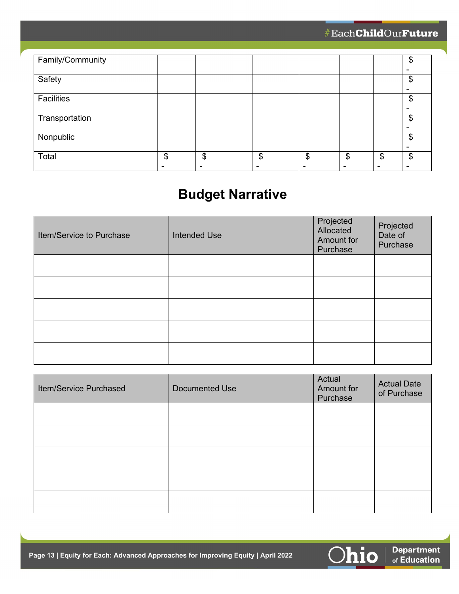| Family/Community |          |          |          | ጥ  |
|------------------|----------|----------|----------|----|
|                  |          |          |          |    |
| Safety           |          |          |          | \$ |
|                  |          |          |          |    |
| Facilities       |          |          |          | \$ |
|                  |          |          |          |    |
| Transportation   |          |          |          | \$ |
|                  |          |          |          |    |
| Nonpublic        |          |          |          | S  |
|                  |          |          |          |    |
| Total            | \$<br>\$ | \$<br>\$ | \$<br>\$ | \$ |
|                  |          |          |          |    |

# **Budget Narrative**

| Item/Service to Purchase | <b>Intended Use</b> | Projected<br>Allocated<br>Amount for<br>Purchase | Projected<br>Date of<br>Purchase |
|--------------------------|---------------------|--------------------------------------------------|----------------------------------|
|                          |                     |                                                  |                                  |
|                          |                     |                                                  |                                  |
|                          |                     |                                                  |                                  |
|                          |                     |                                                  |                                  |
|                          |                     |                                                  |                                  |

| Item/Service Purchased | <b>Documented Use</b> | Actual<br>Amount for<br>Purchase | <b>Actual Date</b><br>of Purchase |
|------------------------|-----------------------|----------------------------------|-----------------------------------|
|                        |                       |                                  |                                   |
|                        |                       |                                  |                                   |
|                        |                       |                                  |                                   |
|                        |                       |                                  |                                   |
|                        |                       |                                  |                                   |

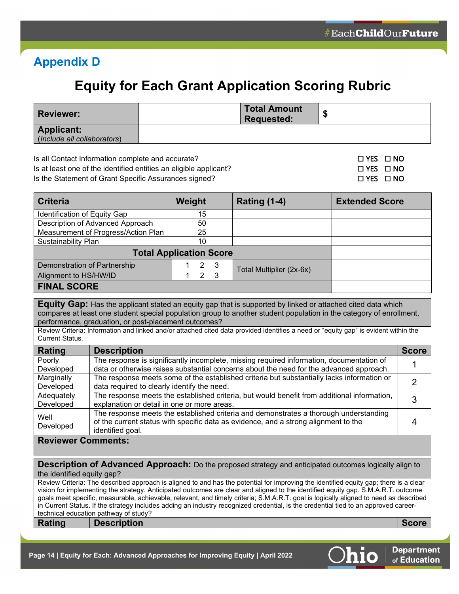# <span id="page-13-0"></span>**Appendix D**

# **Equity for Each Grant Application Scoring Rubric**

| <b>Reviewer:</b>                                 | Total Amount<br>Requested: |  |
|--------------------------------------------------|----------------------------|--|
| <b>Applicant:</b><br>(Include all collaborators) |                            |  |

Is all Contact Information complete and accurate? ☐ YES ☐ NO

Is at least one of the identified entities an eligible applicant? ☐ YES ☐ NO

Is the Statement of Grant Specific Assurances signed? ☐ YES ☐ NO

| <b>Criteria</b>                     | Weight             | Rating (1-4)             | <b>Extended Score</b> |
|-------------------------------------|--------------------|--------------------------|-----------------------|
| Identification of Equity Gap        | 15                 |                          |                       |
| Description of Advanced Approach    | 50                 |                          |                       |
| Measurement of Progress/Action Plan | 25                 |                          |                       |
| <b>Sustainability Plan</b>          | 10                 |                          |                       |
| <b>Total Application Score</b>      |                    |                          |                       |
| Demonstration of Partnership        | 2 <sup>3</sup>     | Total Multiplier (2x-6x) |                       |
| Alignment to HS/HW/ID               | $\mathcal{R}$<br>2 |                          |                       |
| <b>FINAL SCORE</b>                  |                    |                          |                       |

**Equity Gap:** Has the applicant stated an equity gap that is supported by linked or attached cited data which compares at least one student special population group to another student population in the category of enrollment, performance, graduation, or post-placement outcomes?

Review Criteria: Information and linked and/or attached cited data provided identifies a need or "equity gap" is evident within the Current Status.

| Rating     | <b>Description</b>                                                                          | <b>Score</b> |
|------------|---------------------------------------------------------------------------------------------|--------------|
| Poorly     | The response is significantly incomplete, missing required information, documentation of    |              |
| Developed  | data or otherwise raises substantial concerns about the need for the advanced approach.     |              |
| Marginally | The response meets some of the established criteria but substantially lacks information or  |              |
| Developed  | data required to clearly identify the need.                                                 |              |
| Adequately | The response meets the established criteria, but would benefit from additional information, |              |
| Developed  | explanation or detail in one or more areas.                                                 |              |
| Well       | The response meets the established criteria and demonstrates a thorough understanding       |              |
| Developed  | of the current status with specific data as evidence, and a strong alignment to the         |              |
|            | identified goal.                                                                            |              |

#### **Reviewer Comments:**

**Description of Advanced Approach:** Do the proposed strategy and anticipated outcomes logically align to the identified equity gap?

Review Criteria: The described approach is aligned to and has the potential for improving the identified equity gap; there is a clear vision for implementing the strategy. Anticipated outcomes are clear and aligned to the identified equity gap. S.M.A.R.T. outcome goals meet specific, measurable, achievable, relevant, and timely criteria; S.M.A.R.T. goal is logically aligned to need as described in Current Status. If the strategy includes adding an industry recognized credential, is the credential tied to an approved careertechnical education pathway of study?

**Rating Description Score**

**Department** of Education

**Page 14 | Equity for Each: Advanced Approaches for Improving Equity | April 2022**

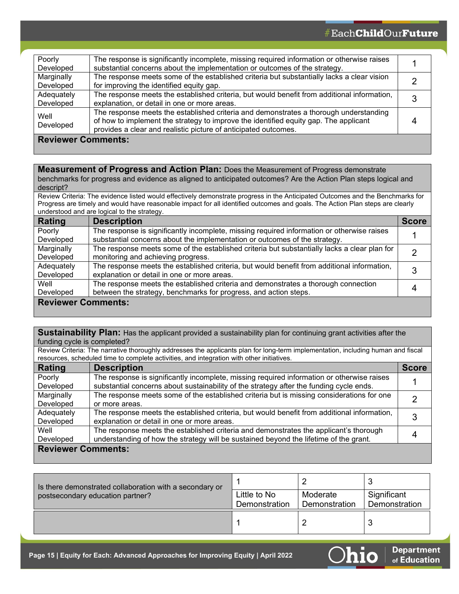| Poorly<br>Developed       | The response is significantly incomplete, missing required information or otherwise raises<br>substantial concerns about the implementation or outcomes of the strategy.                                                                         |  |
|---------------------------|--------------------------------------------------------------------------------------------------------------------------------------------------------------------------------------------------------------------------------------------------|--|
| Marginally<br>Developed   | The response meets some of the established criteria but substantially lacks a clear vision<br>for improving the identified equity gap.                                                                                                           |  |
| Adequately<br>Developed   | The response meets the established criteria, but would benefit from additional information,<br>explanation, or detail in one or more areas.                                                                                                      |  |
| Well<br>Developed         | The response meets the established criteria and demonstrates a thorough understanding<br>of how to implement the strategy to improve the identified equity gap. The applicant<br>provides a clear and realistic picture of anticipated outcomes. |  |
| <b>Reviewer Comments:</b> |                                                                                                                                                                                                                                                  |  |

#### **Measurement of Progress and Action Plan:** Does the Measurement of Progress demonstrate

benchmarks for progress and evidence as aligned to anticipated outcomes? Are the Action Plan steps logical and descript?

Review Criteria: The evidence listed would effectively demonstrate progress in the Anticipated Outcomes and the Benchmarks for Progress are timely and would have reasonable impact for all identified outcomes and goals. The Action Plan steps are clearly understood and are logical to the strategy.

| Rating                    | <b>Description</b>                                                                           | <b>Score</b> |
|---------------------------|----------------------------------------------------------------------------------------------|--------------|
| Poorly                    | The response is significantly incomplete, missing required information or otherwise raises   |              |
| Developed                 | substantial concerns about the implementation or outcomes of the strategy.                   |              |
| Marginally                | The response meets some of the established criteria but substantially lacks a clear plan for |              |
| Developed                 | monitoring and achieving progress.                                                           |              |
| Adequately                | The response meets the established criteria, but would benefit from additional information,  |              |
| Developed                 | explanation or detail in one or more areas.                                                  |              |
| Well                      | The response meets the established criteria and demonstrates a thorough connection           |              |
| Developed                 | between the strategy, benchmarks for progress, and action steps.                             |              |
| <b>Reviewer Comments:</b> |                                                                                              |              |

**Sustainability Plan:** Has the applicant provided a sustainability plan for continuing grant activities after the funding cycle is completed?

Review Criteria: The narrative thoroughly addresses the applicants plan for long-term implementation, including human and fiscal resources, scheduled time to complete activities, and integration with other initiatives.

| Rating                    | <b>Description</b>                                                                          | <b>Score</b> |
|---------------------------|---------------------------------------------------------------------------------------------|--------------|
| Poorly                    | The response is significantly incomplete, missing required information or otherwise raises  |              |
| Developed                 | substantial concerns about sustainability of the strategy after the funding cycle ends.     |              |
| Marginally                | The response meets some of the established criteria but is missing considerations for one   |              |
| Developed                 | or more areas.                                                                              |              |
| Adequately                | The response meets the established criteria, but would benefit from additional information, | 3            |
| Developed                 | explanation or detail in one or more areas.                                                 |              |
| Well                      | The response meets the established criteria and demonstrates the applicant's thorough       |              |
| Developed                 | understanding of how the strategy will be sustained beyond the lifetime of the grant.       | 4            |
| <b>Reviewer Comments:</b> |                                                                                             |              |

| Is there demonstrated collaboration with a secondary or |               |               |               |
|---------------------------------------------------------|---------------|---------------|---------------|
| postsecondary education partner?                        | Little to No  | Moderate      | Significant   |
|                                                         | Demonstration | Demonstration | Demonstration |
|                                                         |               |               |               |